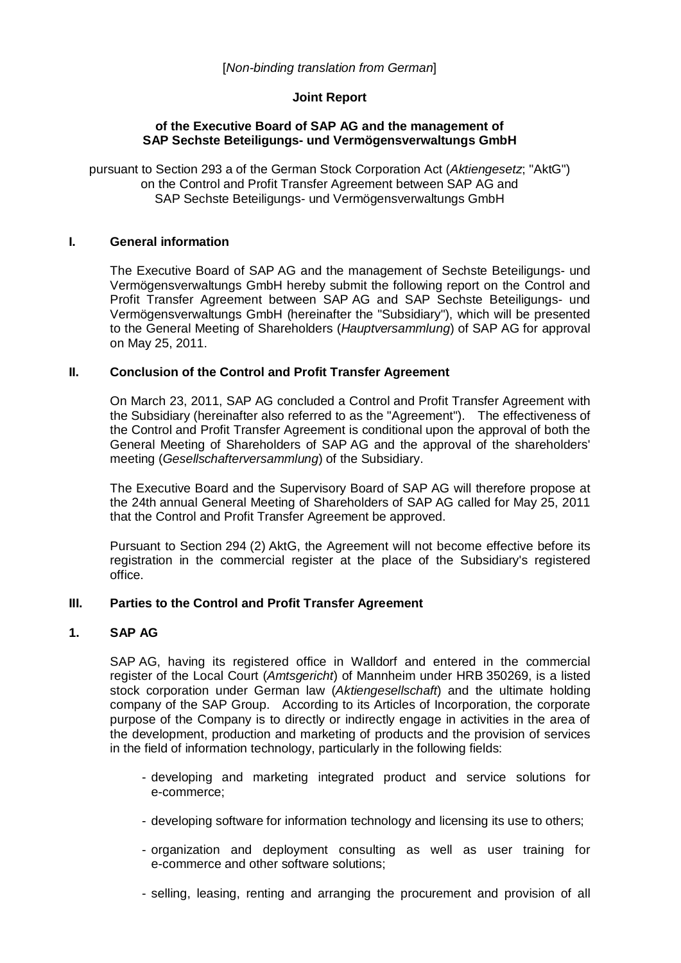### [*Non-binding translation from German*]

### **Joint Report**

#### **of the Executive Board of SAP AG and the management of SAP Sechste Beteiligungs- und Vermögensverwaltungs GmbH**

pursuant to Section 293 a of the German Stock Corporation Act (*Aktiengesetz*; "AktG") on the Control and Profit Transfer Agreement between SAP AG and SAP Sechste Beteiligungs- und Vermögensverwaltungs GmbH

#### **I. General information**

The Executive Board of SAP AG and the management of Sechste Beteiligungs- und Vermögensverwaltungs GmbH hereby submit the following report on the Control and Profit Transfer Agreement between SAP AG and SAP Sechste Beteiligungs- und Vermögensverwaltungs GmbH (hereinafter the "Subsidiary"), which will be presented to the General Meeting of Shareholders (*Hauptversammlung*) of SAP AG for approval on May 25, 2011.

# **II. Conclusion of the Control and Profit Transfer Agreement**

On March 23, 2011, SAP AG concluded a Control and Profit Transfer Agreement with the Subsidiary (hereinafter also referred to as the "Agreement"). The effectiveness of the Control and Profit Transfer Agreement is conditional upon the approval of both the General Meeting of Shareholders of SAP AG and the approval of the shareholders' meeting (*Gesellschafterversammlung*) of the Subsidiary.

The Executive Board and the Supervisory Board of SAP AG will therefore propose at the 24th annual General Meeting of Shareholders of SAP AG called for May 25, 2011 that the Control and Profit Transfer Agreement be approved.

Pursuant to Section 294 (2) AktG, the Agreement will not become effective before its registration in the commercial register at the place of the Subsidiary's registered office.

# **III. Parties to the Control and Profit Transfer Agreement**

## **1. SAP AG**

SAP AG, having its registered office in Walldorf and entered in the commercial register of the Local Court (*Amtsgericht*) of Mannheim under HRB 350269, is a listed stock corporation under German law (*Aktiengesellschaft*) and the ultimate holding company of the SAP Group. According to its Articles of Incorporation, the corporate purpose of the Company is to directly or indirectly engage in activities in the area of the development, production and marketing of products and the provision of services in the field of information technology, particularly in the following fields:

- developing and marketing integrated product and service solutions for e-commerce;
- developing software for information technology and licensing its use to others;
- organization and deployment consulting as well as user training for e-commerce and other software solutions;
- selling, leasing, renting and arranging the procurement and provision of all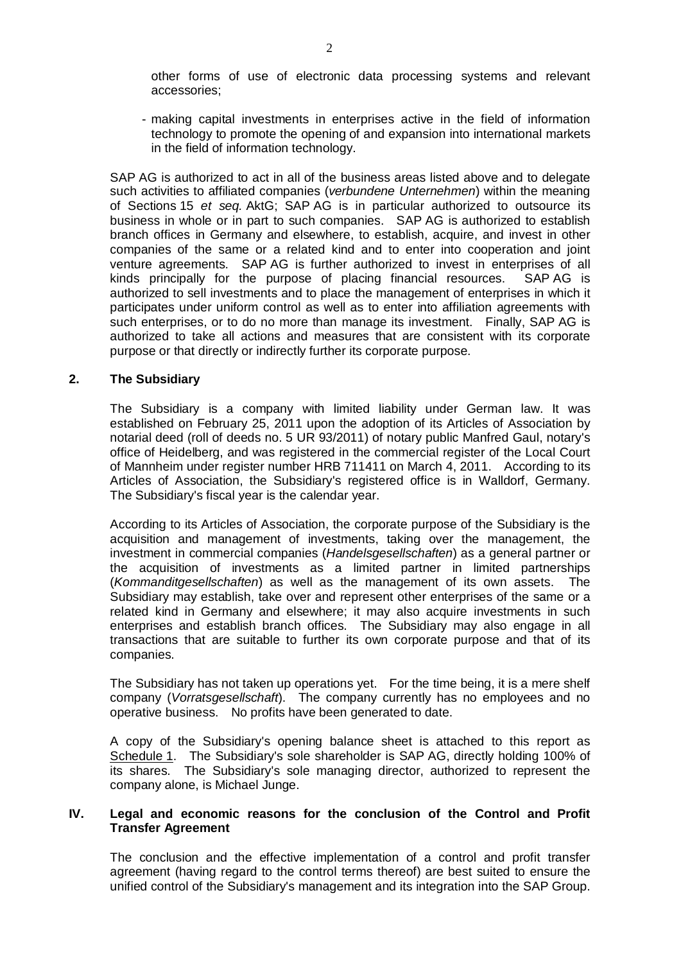other forms of use of electronic data processing systems and relevant accessories;

- making capital investments in enterprises active in the field of information technology to promote the opening of and expansion into international markets in the field of information technology.

SAP AG is authorized to act in all of the business areas listed above and to delegate such activities to affiliated companies (*verbundene Unternehmen*) within the meaning of Sections 15 *et seq.* AktG; SAP AG is in particular authorized to outsource its business in whole or in part to such companies. SAP AG is authorized to establish branch offices in Germany and elsewhere, to establish, acquire, and invest in other companies of the same or a related kind and to enter into cooperation and joint venture agreements. SAP AG is further authorized to invest in enterprises of all kinds principally for the purpose of placing financial resources. SAP AG is authorized to sell investments and to place the management of enterprises in which it participates under uniform control as well as to enter into affiliation agreements with such enterprises, or to do no more than manage its investment. Finally, SAP AG is authorized to take all actions and measures that are consistent with its corporate purpose or that directly or indirectly further its corporate purpose.

#### **2. The Subsidiary**

The Subsidiary is a company with limited liability under German law. It was established on February 25, 2011 upon the adoption of its Articles of Association by notarial deed (roll of deeds no. 5 UR 93/2011) of notary public Manfred Gaul, notary's office of Heidelberg, and was registered in the commercial register of the Local Court of Mannheim under register number HRB 711411 on March 4, 2011. According to its Articles of Association, the Subsidiary's registered office is in Walldorf, Germany. The Subsidiary's fiscal year is the calendar year.

According to its Articles of Association, the corporate purpose of the Subsidiary is the acquisition and management of investments, taking over the management, the investment in commercial companies (*Handelsgesellschaften*) as a general partner or the acquisition of investments as a limited partner in limited partnerships (*Kommanditgesellschaften*) as well as the management of its own assets. The Subsidiary may establish, take over and represent other enterprises of the same or a related kind in Germany and elsewhere; it may also acquire investments in such enterprises and establish branch offices. The Subsidiary may also engage in all transactions that are suitable to further its own corporate purpose and that of its companies.

The Subsidiary has not taken up operations yet. For the time being, it is a mere shelf company (*Vorratsgesellschaft*). The company currently has no employees and no operative business. No profits have been generated to date.

A copy of the Subsidiary's opening balance sheet is attached to this report as Schedule 1. The Subsidiary's sole shareholder is SAP AG, directly holding 100% of its shares. The Subsidiary's sole managing director, authorized to represent the company alone, is Michael Junge.

#### **IV. Legal and economic reasons for the conclusion of the Control and Profit Transfer Agreement**

The conclusion and the effective implementation of a control and profit transfer agreement (having regard to the control terms thereof) are best suited to ensure the unified control of the Subsidiary's management and its integration into the SAP Group.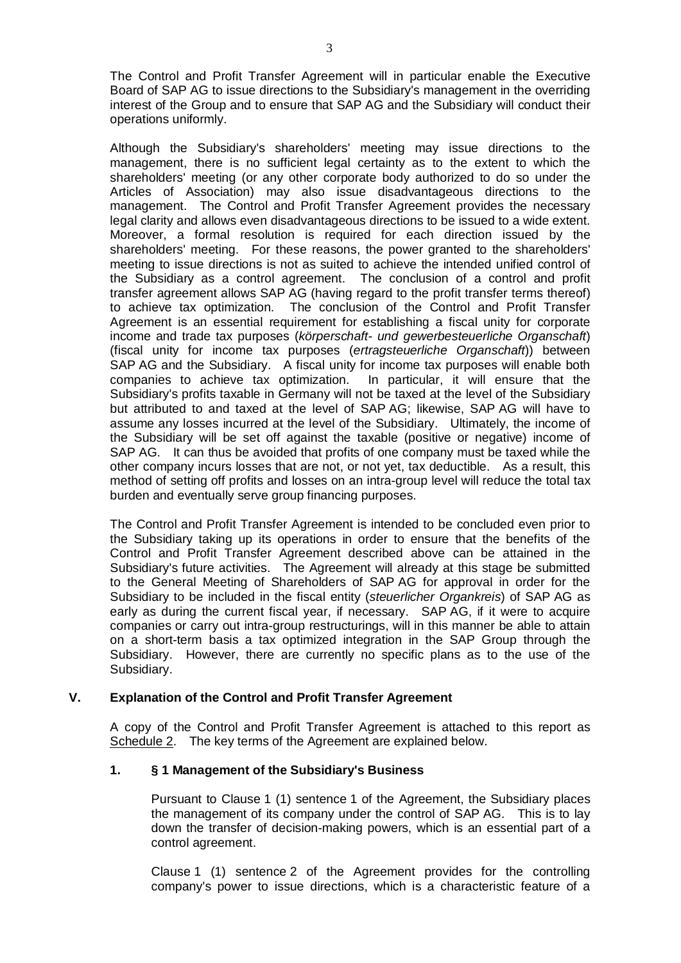The Control and Profit Transfer Agreement will in particular enable the Executive Board of SAP AG to issue directions to the Subsidiary's management in the overriding interest of the Group and to ensure that SAP AG and the Subsidiary will conduct their operations uniformly.

Although the Subsidiary's shareholders' meeting may issue directions to the management, there is no sufficient legal certainty as to the extent to which the shareholders' meeting (or any other corporate body authorized to do so under the Articles of Association) may also issue disadvantageous directions to the management. The Control and Profit Transfer Agreement provides the necessary legal clarity and allows even disadvantageous directions to be issued to a wide extent. Moreover, a formal resolution is required for each direction issued by the shareholders' meeting. For these reasons, the power granted to the shareholders' meeting to issue directions is not as suited to achieve the intended unified control of the Subsidiary as a control agreement. The conclusion of a control and profit transfer agreement allows SAP AG (having regard to the profit transfer terms thereof) to achieve tax optimization. The conclusion of the Control and Profit Transfer Agreement is an essential requirement for establishing a fiscal unity for corporate income and trade tax purposes (*körperschaft- und gewerbesteuerliche Organschaft*) (fiscal unity for income tax purposes (*ertragsteuerliche Organschaft*)) between SAP AG and the Subsidiary. A fiscal unity for income tax purposes will enable both companies to achieve tax optimization. In particular, it will ensure that the Subsidiary's profits taxable in Germany will not be taxed at the level of the Subsidiary but attributed to and taxed at the level of SAP AG; likewise, SAP AG will have to assume any losses incurred at the level of the Subsidiary. Ultimately, the income of the Subsidiary will be set off against the taxable (positive or negative) income of SAP AG. It can thus be avoided that profits of one company must be taxed while the other company incurs losses that are not, or not yet, tax deductible. As a result, this method of setting off profits and losses on an intra-group level will reduce the total tax burden and eventually serve group financing purposes.

The Control and Profit Transfer Agreement is intended to be concluded even prior to the Subsidiary taking up its operations in order to ensure that the benefits of the Control and Profit Transfer Agreement described above can be attained in the Subsidiary's future activities. The Agreement will already at this stage be submitted to the General Meeting of Shareholders of SAP AG for approval in order for the Subsidiary to be included in the fiscal entity (*steuerlicher Organkreis*) of SAP AG as early as during the current fiscal year, if necessary. SAP AG, if it were to acquire companies or carry out intra-group restructurings, will in this manner be able to attain on a short-term basis a tax optimized integration in the SAP Group through the Subsidiary. However, there are currently no specific plans as to the use of the Subsidiary.

# **V. Explanation of the Control and Profit Transfer Agreement**

A copy of the Control and Profit Transfer Agreement is attached to this report as Schedule 2. The key terms of the Agreement are explained below.

# **1. § 1 Management of the Subsidiary's Business**

Pursuant to Clause 1 (1) sentence 1 of the Agreement, the Subsidiary places the management of its company under the control of SAP AG. This is to lay down the transfer of decision-making powers, which is an essential part of a control agreement.

Clause 1 (1) sentence 2 of the Agreement provides for the controlling company's power to issue directions, which is a characteristic feature of a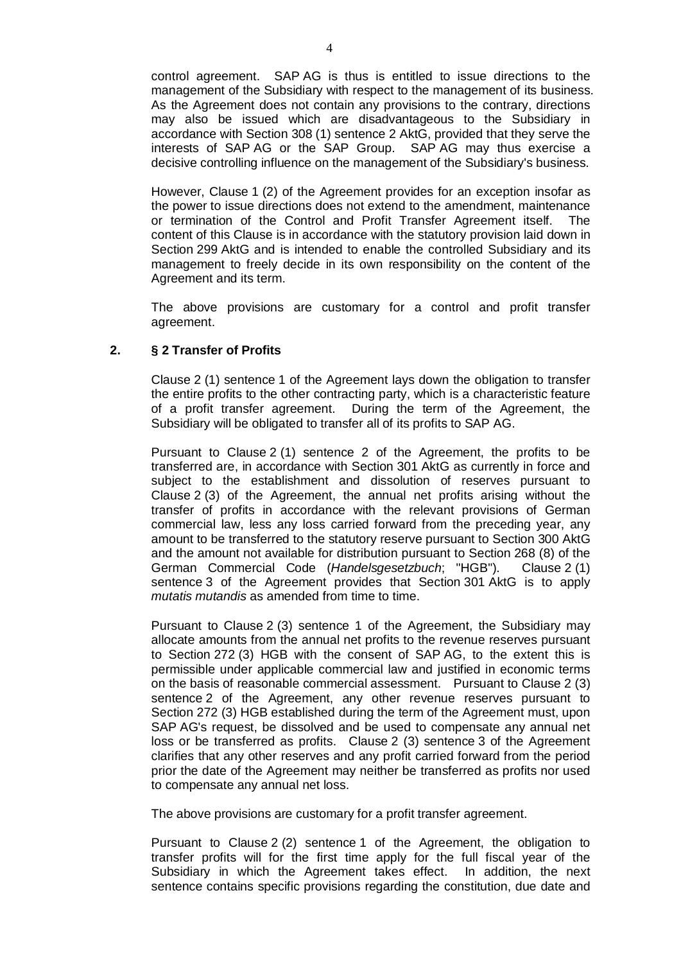control agreement. SAP AG is thus is entitled to issue directions to the management of the Subsidiary with respect to the management of its business. As the Agreement does not contain any provisions to the contrary, directions may also be issued which are disadvantageous to the Subsidiary in accordance with Section 308 (1) sentence 2 AktG, provided that they serve the interests of SAP AG or the SAP Group. SAP AG may thus exercise a decisive controlling influence on the management of the Subsidiary's business.

However, Clause 1 (2) of the Agreement provides for an exception insofar as the power to issue directions does not extend to the amendment, maintenance or termination of the Control and Profit Transfer Agreement itself. The content of this Clause is in accordance with the statutory provision laid down in Section 299 AktG and is intended to enable the controlled Subsidiary and its management to freely decide in its own responsibility on the content of the Agreement and its term.

The above provisions are customary for a control and profit transfer agreement.

### **2. § 2 Transfer of Profits**

Clause 2 (1) sentence 1 of the Agreement lays down the obligation to transfer the entire profits to the other contracting party, which is a characteristic feature of a profit transfer agreement. During the term of the Agreement, the Subsidiary will be obligated to transfer all of its profits to SAP AG.

Pursuant to Clause 2 (1) sentence 2 of the Agreement, the profits to be transferred are, in accordance with Section 301 AktG as currently in force and subject to the establishment and dissolution of reserves pursuant to Clause 2 (3) of the Agreement, the annual net profits arising without the transfer of profits in accordance with the relevant provisions of German commercial law, less any loss carried forward from the preceding year, any amount to be transferred to the statutory reserve pursuant to Section 300 AktG and the amount not available for distribution pursuant to Section 268 (8) of the German Commercial Code (*Handelsgesetzbuch*; "HGB"). Clause 2 (1) sentence 3 of the Agreement provides that Section 301 AktG is to apply *mutatis mutandis* as amended from time to time.

Pursuant to Clause 2 (3) sentence 1 of the Agreement, the Subsidiary may allocate amounts from the annual net profits to the revenue reserves pursuant to Section 272 (3) HGB with the consent of SAP AG, to the extent this is permissible under applicable commercial law and justified in economic terms on the basis of reasonable commercial assessment. Pursuant to Clause 2 (3) sentence 2 of the Agreement, any other revenue reserves pursuant to Section 272 (3) HGB established during the term of the Agreement must, upon SAP AG's request, be dissolved and be used to compensate any annual net loss or be transferred as profits. Clause 2 (3) sentence 3 of the Agreement clarifies that any other reserves and any profit carried forward from the period prior the date of the Agreement may neither be transferred as profits nor used to compensate any annual net loss.

The above provisions are customary for a profit transfer agreement.

Pursuant to Clause 2 (2) sentence 1 of the Agreement, the obligation to transfer profits will for the first time apply for the full fiscal year of the Subsidiary in which the Agreement takes effect. In addition, the next sentence contains specific provisions regarding the constitution, due date and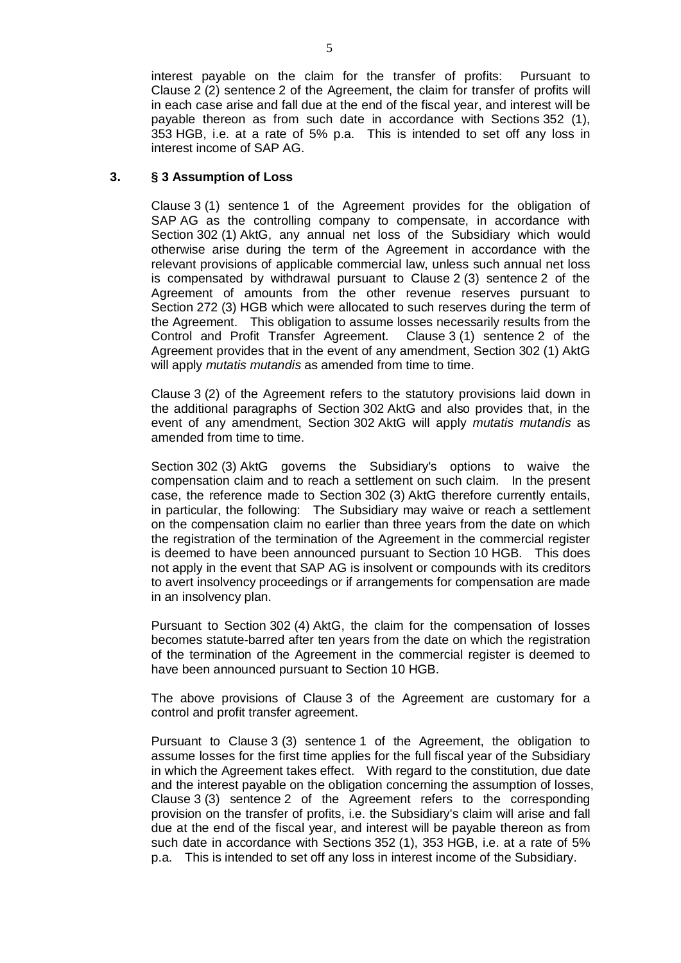interest payable on the claim for the transfer of profits: Pursuant to Clause 2 (2) sentence 2 of the Agreement, the claim for transfer of profits will in each case arise and fall due at the end of the fiscal year, and interest will be payable thereon as from such date in accordance with Sections 352 (1), 353 HGB, i.e. at a rate of 5% p.a. This is intended to set off any loss in interest income of SAP AG.

## **3. § 3 Assumption of Loss**

Clause 3 (1) sentence 1 of the Agreement provides for the obligation of SAP AG as the controlling company to compensate, in accordance with Section 302 (1) AktG, any annual net loss of the Subsidiary which would otherwise arise during the term of the Agreement in accordance with the relevant provisions of applicable commercial law, unless such annual net loss is compensated by withdrawal pursuant to Clause 2 (3) sentence 2 of the Agreement of amounts from the other revenue reserves pursuant to Section 272 (3) HGB which were allocated to such reserves during the term of the Agreement. This obligation to assume losses necessarily results from the Control and Profit Transfer Agreement. Clause 3 (1) sentence 2 of the Agreement provides that in the event of any amendment, Section 302 (1) AktG will apply *mutatis mutandis* as amended from time to time.

Clause 3 (2) of the Agreement refers to the statutory provisions laid down in the additional paragraphs of Section 302 AktG and also provides that, in the event of any amendment, Section 302 AktG will apply *mutatis mutandis* as amended from time to time.

Section 302 (3) AktG governs the Subsidiary's options to waive the compensation claim and to reach a settlement on such claim. In the present case, the reference made to Section 302 (3) AktG therefore currently entails, in particular, the following: The Subsidiary may waive or reach a settlement on the compensation claim no earlier than three years from the date on which the registration of the termination of the Agreement in the commercial register is deemed to have been announced pursuant to Section 10 HGB. This does not apply in the event that SAP AG is insolvent or compounds with its creditors to avert insolvency proceedings or if arrangements for compensation are made in an insolvency plan.

Pursuant to Section 302 (4) AktG, the claim for the compensation of losses becomes statute-barred after ten years from the date on which the registration of the termination of the Agreement in the commercial register is deemed to have been announced pursuant to Section 10 HGB.

The above provisions of Clause 3 of the Agreement are customary for a control and profit transfer agreement.

Pursuant to Clause 3 (3) sentence 1 of the Agreement, the obligation to assume losses for the first time applies for the full fiscal year of the Subsidiary in which the Agreement takes effect. With regard to the constitution, due date and the interest payable on the obligation concerning the assumption of losses, Clause 3 (3) sentence 2 of the Agreement refers to the corresponding provision on the transfer of profits, i.e. the Subsidiary's claim will arise and fall due at the end of the fiscal year, and interest will be payable thereon as from such date in accordance with Sections 352 (1), 353 HGB, i.e. at a rate of 5% p.a. This is intended to set off any loss in interest income of the Subsidiary.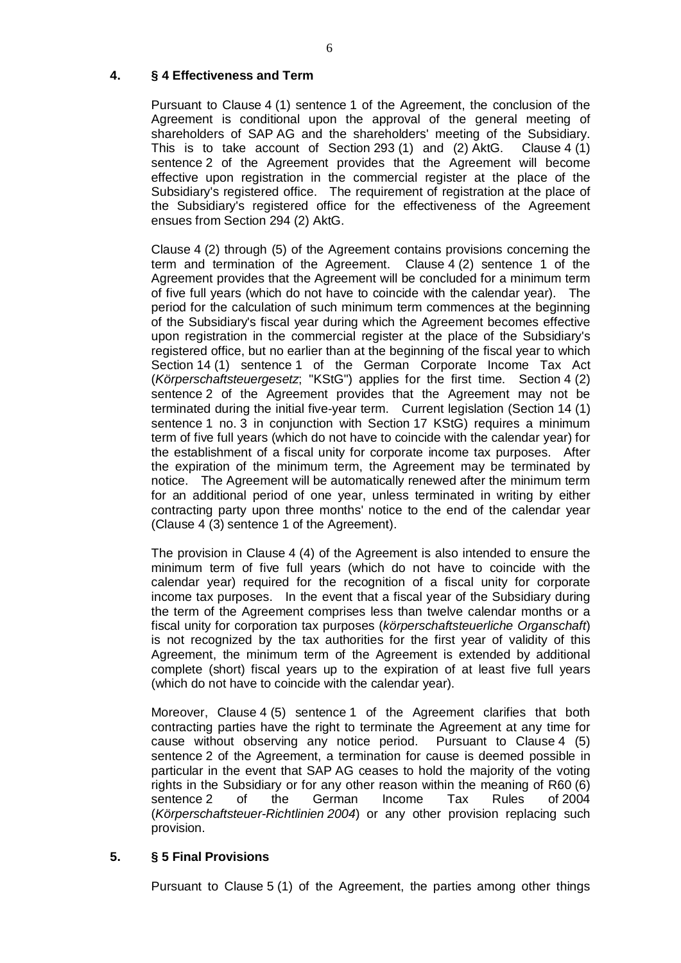# **4. § 4 Effectiveness and Term**

Pursuant to Clause 4 (1) sentence 1 of the Agreement, the conclusion of the Agreement is conditional upon the approval of the general meeting of shareholders of SAP AG and the shareholders' meeting of the Subsidiary. This is to take account of Section 293 (1) and (2) AktG. Clause 4 (1) sentence 2 of the Agreement provides that the Agreement will become effective upon registration in the commercial register at the place of the Subsidiary's registered office. The requirement of registration at the place of the Subsidiary's registered office for the effectiveness of the Agreement ensues from Section 294 (2) AktG.

Clause 4 (2) through (5) of the Agreement contains provisions concerning the term and termination of the Agreement. Clause 4 (2) sentence 1 of the Agreement provides that the Agreement will be concluded for a minimum term of five full years (which do not have to coincide with the calendar year). The period for the calculation of such minimum term commences at the beginning of the Subsidiary's fiscal year during which the Agreement becomes effective upon registration in the commercial register at the place of the Subsidiary's registered office, but no earlier than at the beginning of the fiscal year to which Section 14 (1) sentence 1 of the German Corporate Income Tax Act (*Körperschaftsteuergesetz*; "KStG") applies for the first time. Section 4 (2) sentence 2 of the Agreement provides that the Agreement may not be terminated during the initial five-year term. Current legislation (Section 14 (1) sentence 1 no. 3 in conjunction with Section 17 KStG) requires a minimum term of five full years (which do not have to coincide with the calendar year) for the establishment of a fiscal unity for corporate income tax purposes. After the expiration of the minimum term, the Agreement may be terminated by notice. The Agreement will be automatically renewed after the minimum term for an additional period of one year, unless terminated in writing by either contracting party upon three months' notice to the end of the calendar year (Clause 4 (3) sentence 1 of the Agreement).

The provision in Clause 4 (4) of the Agreement is also intended to ensure the minimum term of five full years (which do not have to coincide with the calendar year) required for the recognition of a fiscal unity for corporate income tax purposes. In the event that a fiscal year of the Subsidiary during the term of the Agreement comprises less than twelve calendar months or a fiscal unity for corporation tax purposes (*körperschaftsteuerliche Organschaft*) is not recognized by the tax authorities for the first year of validity of this Agreement, the minimum term of the Agreement is extended by additional complete (short) fiscal years up to the expiration of at least five full years (which do not have to coincide with the calendar year).

Moreover, Clause 4 (5) sentence 1 of the Agreement clarifies that both contracting parties have the right to terminate the Agreement at any time for cause without observing any notice period. Pursuant to Clause 4 (5) sentence 2 of the Agreement, a termination for cause is deemed possible in particular in the event that SAP AG ceases to hold the majority of the voting rights in the Subsidiary or for any other reason within the meaning of R60 (6) sentence 2 of the German Income Tax Rules of 2004 (*Körperschaftsteuer-Richtlinien 2004*) or any other provision replacing such provision.

#### **5. § 5 Final Provisions**

Pursuant to Clause 5 (1) of the Agreement, the parties among other things